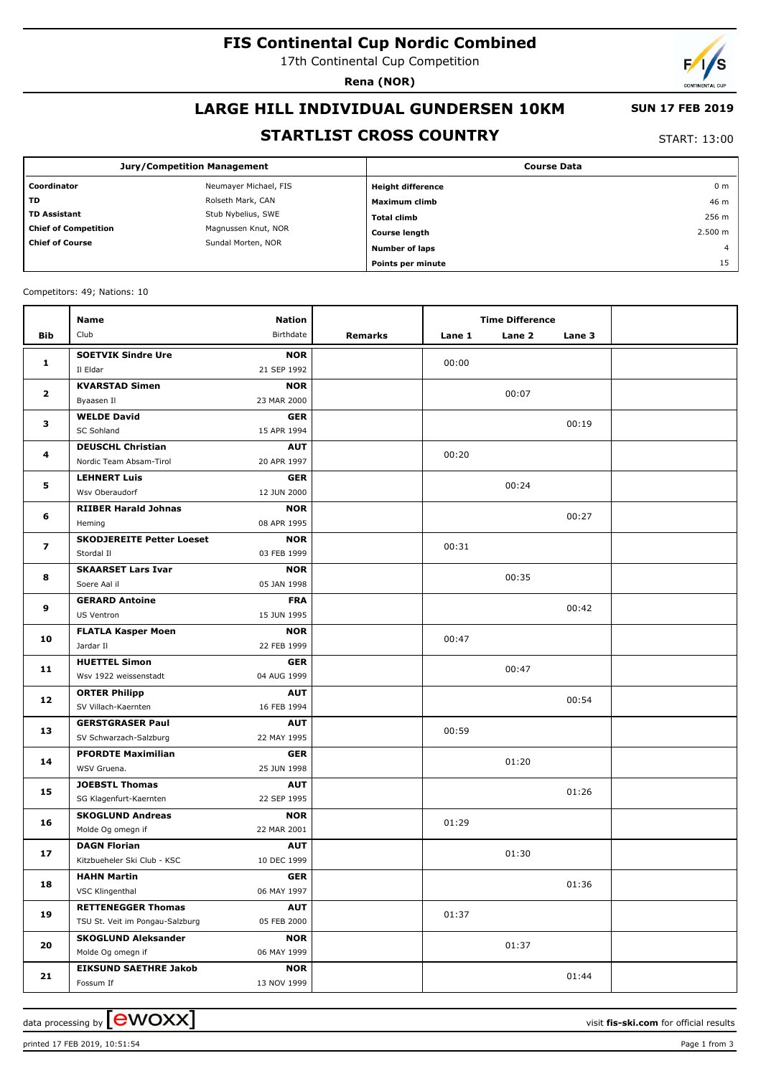# **FIS Continental Cup Nordic Combined**

17th Continental Cup Competition

**Rena (NOR)**

# **LARGE HILL INDIVIDUAL GUNDERSEN 10KM**

### **SUN 17 FEB 2019**

# **STARTLIST CROSS COUNTRY**

START: 13:00

|                                              | <b>Jury/Competition Management</b> | <b>Course Data</b>       |                |  |  |
|----------------------------------------------|------------------------------------|--------------------------|----------------|--|--|
| Coordinator                                  | Neumayer Michael, FIS              | <b>Height difference</b> | 0 <sub>m</sub> |  |  |
| <b>TD</b>                                    | Rolseth Mark, CAN                  | Maximum climb            | 46 m           |  |  |
| <b>TD Assistant</b>                          | Stub Nybelius, SWE                 | <b>Total climb</b>       | 256 m          |  |  |
| <b>Chief of Competition</b>                  | Magnussen Knut, NOR                | <b>Course length</b>     | 2.500 m        |  |  |
| <b>Chief of Course</b><br>Sundal Morten, NOR | <b>Number of laps</b>              | $\overline{4}$           |                |  |  |
|                                              |                                    | Points per minute        | 15             |  |  |

Competitors: 49; Nations: 10

|                         | Name                             | <b>Nation</b> |         |        | <b>Time Difference</b> |        |  |
|-------------------------|----------------------------------|---------------|---------|--------|------------------------|--------|--|
| Bib                     | Club                             | Birthdate     | Remarks | Lane 1 | Lane 2                 | Lane 3 |  |
| 1                       | <b>SOETVIK Sindre Ure</b>        | <b>NOR</b>    |         |        |                        |        |  |
|                         | Il Eldar                         | 21 SEP 1992   |         | 00:00  |                        |        |  |
| $\mathbf{2}$            | <b>KVARSTAD Simen</b>            | <b>NOR</b>    |         |        | 00:07                  |        |  |
|                         | Byaasen Il                       | 23 MAR 2000   |         |        |                        |        |  |
| з                       | <b>WELDE David</b>               | <b>GER</b>    |         |        |                        | 00:19  |  |
|                         | SC Sohland                       | 15 APR 1994   |         |        |                        |        |  |
| 4                       | <b>DEUSCHL Christian</b>         | <b>AUT</b>    |         | 00:20  |                        |        |  |
|                         | Nordic Team Absam-Tirol          | 20 APR 1997   |         |        |                        |        |  |
| 5                       | <b>LEHNERT Luis</b>              | <b>GER</b>    |         |        | 00:24                  |        |  |
|                         | Wsv Oberaudorf                   | 12 JUN 2000   |         |        |                        |        |  |
| 6                       | <b>RIIBER Harald Johnas</b>      | <b>NOR</b>    |         |        |                        | 00:27  |  |
|                         | Heming                           | 08 APR 1995   |         |        |                        |        |  |
| $\overline{\mathbf{z}}$ | <b>SKODJEREITE Petter Loeset</b> | <b>NOR</b>    |         | 00:31  |                        |        |  |
|                         | Stordal II                       | 03 FEB 1999   |         |        |                        |        |  |
| 8                       | <b>SKAARSET Lars Ivar</b>        | <b>NOR</b>    |         |        | 00:35                  |        |  |
|                         | Soere Aal il                     | 05 JAN 1998   |         |        |                        |        |  |
| 9                       | <b>GERARD Antoine</b>            | <b>FRA</b>    |         |        |                        | 00:42  |  |
|                         | US Ventron                       | 15 JUN 1995   |         |        |                        |        |  |
| 10                      | <b>FLATLA Kasper Moen</b>        | <b>NOR</b>    |         | 00:47  |                        |        |  |
|                         | Jardar II                        | 22 FEB 1999   |         |        |                        |        |  |
| 11                      | <b>HUETTEL Simon</b>             | <b>GER</b>    |         | 00:47  |                        |        |  |
|                         | Wsv 1922 weissenstadt            | 04 AUG 1999   |         |        |                        |        |  |
| 12                      | <b>ORTER Philipp</b>             | <b>AUT</b>    |         |        | 00:54                  |        |  |
|                         | SV Villach-Kaernten              | 16 FEB 1994   |         |        |                        |        |  |
| 13                      | <b>GERSTGRASER Paul</b>          | <b>AUT</b>    |         | 00:59  |                        |        |  |
|                         | SV Schwarzach-Salzburg           | 22 MAY 1995   |         |        |                        |        |  |
| 14                      | <b>PFORDTE Maximilian</b>        | <b>GER</b>    |         |        | 01:20                  |        |  |
|                         | WSV Gruena.                      | 25 JUN 1998   |         |        |                        |        |  |
| 15                      | <b>JOEBSTL Thomas</b>            | <b>AUT</b>    |         |        |                        | 01:26  |  |
|                         | SG Klagenfurt-Kaernten           | 22 SEP 1995   |         |        |                        |        |  |
| 16                      | <b>SKOGLUND Andreas</b>          | <b>NOR</b>    |         | 01:29  |                        |        |  |
|                         | Molde Og omegn if                | 22 MAR 2001   |         |        |                        |        |  |
| 17                      | <b>DAGN Florian</b>              | <b>AUT</b>    |         | 01:30  |                        |        |  |
|                         | Kitzbueheler Ski Club - KSC      | 10 DEC 1999   |         |        |                        |        |  |
| 18                      | <b>HAHN Martin</b>               | <b>GER</b>    |         |        |                        | 01:36  |  |
|                         | VSC Klingenthal                  | 06 MAY 1997   |         |        |                        |        |  |
| 19                      | <b>RETTENEGGER Thomas</b>        | <b>AUT</b>    |         | 01:37  |                        |        |  |
|                         | TSU St. Veit im Pongau-Salzburg  | 05 FEB 2000   |         |        |                        |        |  |
| 20                      | <b>SKOGLUND Aleksander</b>       | <b>NOR</b>    |         |        | 01:37                  |        |  |
|                         | Molde Og omegn if                | 06 MAY 1999   |         |        |                        |        |  |
| 21                      | <b>EIKSUND SAETHRE Jakob</b>     | <b>NOR</b>    |         |        |                        | 01:44  |  |
|                         | Fossum If                        | 13 NOV 1999   |         |        |                        |        |  |

printed 17 FEB 2019, 10:51:54 Page 1 from 3

data processing by **CWOXX**  $\blacksquare$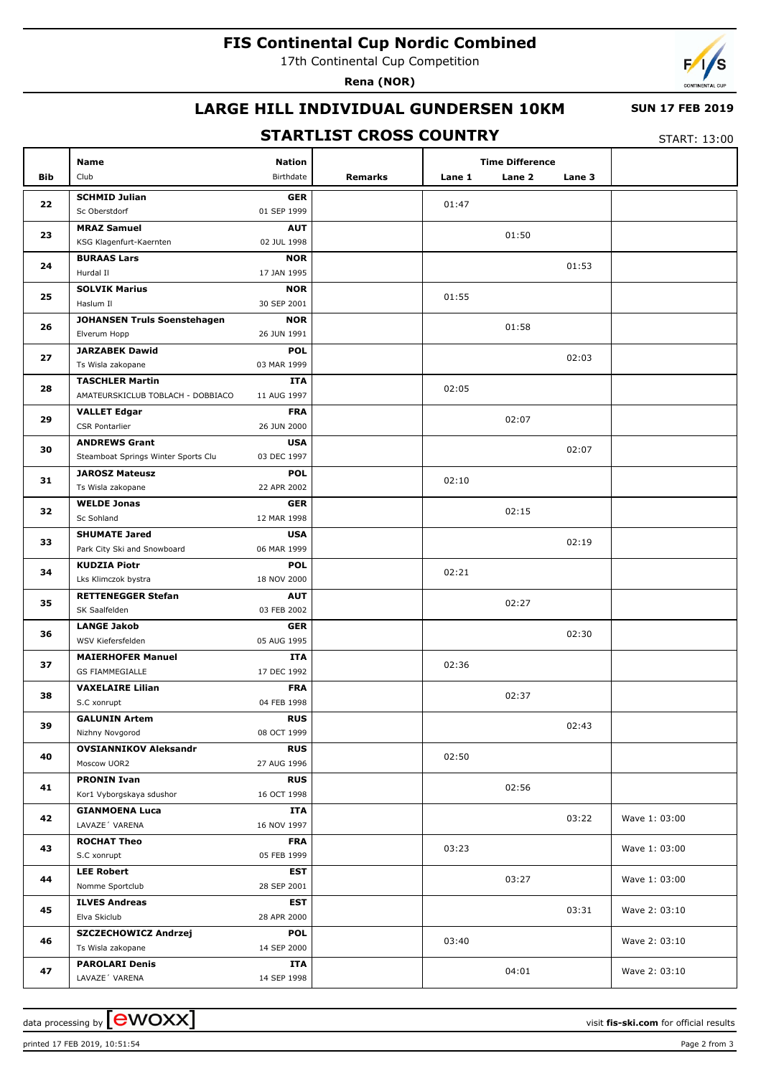# **FIS Continental Cup Nordic Combined**

17th Continental Cup Competition

**Rena (NOR)**



# **LARGE HILL INDIVIDUAL GUNDERSEN 10KM**

#### **SUN 17 FEB 2019**

# **STARTLIST CROSS COUNTRY**

START: 13:00

|     | Name                                       | <b>Nation</b>             |         |        | <b>Time Difference</b> |        |               |
|-----|--------------------------------------------|---------------------------|---------|--------|------------------------|--------|---------------|
| Bib | Club                                       | Birthdate                 | Remarks | Lane 1 | Lane 2                 | Lane 3 |               |
|     | <b>SCHMID Julian</b>                       | <b>GER</b>                |         |        |                        |        |               |
| 22  | Sc Oberstdorf                              | 01 SEP 1999               |         | 01:47  |                        |        |               |
| 23  | <b>MRAZ Samuel</b>                         | <b>AUT</b>                |         |        |                        |        |               |
|     | KSG Klagenfurt-Kaernten                    | 02 JUL 1998               |         |        | 01:50                  |        |               |
| 24  | <b>BURAAS Lars</b>                         | <b>NOR</b>                |         |        |                        | 01:53  |               |
|     | Hurdal II                                  | 17 JAN 1995               |         |        |                        |        |               |
| 25  | <b>SOLVIK Marius</b>                       | <b>NOR</b>                |         | 01:55  |                        |        |               |
|     | Haslum II                                  | 30 SEP 2001               |         |        |                        |        |               |
| 26  | <b>JOHANSEN Truls Soenstehagen</b>         | <b>NOR</b>                |         |        | 01:58                  |        |               |
|     | Elverum Hopp                               | 26 JUN 1991               |         |        |                        |        |               |
| 27  | <b>JARZABEK Dawid</b><br>Ts Wisla zakopane | <b>POL</b><br>03 MAR 1999 |         |        |                        | 02:03  |               |
|     | <b>TASCHLER Martin</b>                     | ITA                       |         |        |                        |        |               |
| 28  | AMATEURSKICLUB TOBLACH - DOBBIACO          | 11 AUG 1997               |         | 02:05  |                        |        |               |
|     | <b>VALLET Edgar</b>                        | <b>FRA</b>                |         |        |                        |        |               |
| 29  | <b>CSR Pontarlier</b>                      | 26 JUN 2000               |         |        | 02:07                  |        |               |
|     | <b>ANDREWS Grant</b>                       | <b>USA</b>                |         |        |                        |        |               |
| 30  | Steamboat Springs Winter Sports Clu        | 03 DEC 1997               |         |        |                        | 02:07  |               |
| 31  | <b>JAROSZ Mateusz</b>                      | <b>POL</b>                |         |        |                        |        |               |
|     | Ts Wisla zakopane                          | 22 APR 2002               |         | 02:10  |                        |        |               |
| 32  | <b>WELDE Jonas</b>                         | <b>GER</b>                |         |        | 02:15                  |        |               |
|     | Sc Sohland                                 | 12 MAR 1998               |         |        |                        |        |               |
| 33  | <b>SHUMATE Jared</b>                       | <b>USA</b>                |         |        |                        | 02:19  |               |
|     | Park City Ski and Snowboard                | 06 MAR 1999               |         |        |                        |        |               |
| 34  | <b>KUDZIA Piotr</b>                        | <b>POL</b>                |         | 02:21  |                        |        |               |
|     | Lks Klimczok bystra                        | 18 NOV 2000               |         |        |                        |        |               |
| 35  | <b>RETTENEGGER Stefan</b><br>SK Saalfelden | <b>AUT</b><br>03 FEB 2002 |         |        | 02:27                  |        |               |
|     | <b>LANGE Jakob</b>                         | <b>GER</b>                |         |        |                        |        |               |
| 36  | WSV Kiefersfelden                          | 05 AUG 1995               |         |        |                        | 02:30  |               |
|     | <b>MAIERHOFER Manuel</b>                   | ITA                       |         |        |                        |        |               |
| 37  | GS FIAMMEGIALLE                            | 17 DEC 1992               |         | 02:36  |                        |        |               |
|     | <b>VAXELAIRE Lilian</b>                    | <b>FRA</b>                |         |        |                        |        |               |
| 38  | S.C xonrupt                                | 04 FEB 1998               |         |        | 02:37                  |        |               |
|     | <b>GALUNIN Artem</b>                       | <b>RUS</b>                |         |        |                        |        |               |
| 39  | Nizhny Novgorod                            | 08 OCT 1999               |         |        |                        | 02:43  |               |
| 40  | <b>OVSIANNIKOV Aleksandr</b>               | <b>RUS</b>                |         | 02:50  |                        |        |               |
|     | Moscow UOR2                                | 27 AUG 1996               |         |        |                        |        |               |
| 41  | <b>PRONIN Ivan</b>                         | <b>RUS</b>                |         |        | 02:56                  |        |               |
|     | Kor1 Vyborgskaya sdushor                   | 16 OCT 1998               |         |        |                        |        |               |
| 42  | <b>GIANMOENA Luca</b>                      | ITA                       |         |        |                        | 03:22  | Wave 1: 03:00 |
|     | LAVAZE' VARENA                             | 16 NOV 1997               |         |        |                        |        |               |
| 43  | <b>ROCHAT Theo</b><br>S.C xonrupt          | <b>FRA</b><br>05 FEB 1999 |         | 03:23  |                        |        | Wave 1: 03:00 |
|     | <b>LEE Robert</b>                          | <b>EST</b>                |         |        |                        |        |               |
| 44  | Nomme Sportclub                            | 28 SEP 2001               |         |        | 03:27                  |        | Wave 1: 03:00 |
|     | <b>ILVES Andreas</b>                       | <b>EST</b>                |         |        |                        |        |               |
| 45  | Elva Skiclub                               | 28 APR 2000               |         |        |                        | 03:31  | Wave 2: 03:10 |
|     | <b>SZCZECHOWICZ Andrzej</b>                | <b>POL</b>                |         |        |                        |        |               |
| 46  | Ts Wisla zakopane                          | 14 SEP 2000               |         | 03:40  |                        |        | Wave 2: 03:10 |
|     | <b>PAROLARI Denis</b>                      | ITA                       |         |        |                        |        |               |
| 47  | LAVAZE 'VARENA                             | 14 SEP 1998               |         |        | 04:01                  |        | Wave 2: 03:10 |

data processing by **CWOXX** and  $\overline{A}$  wisit **fis-ski.com** for official results